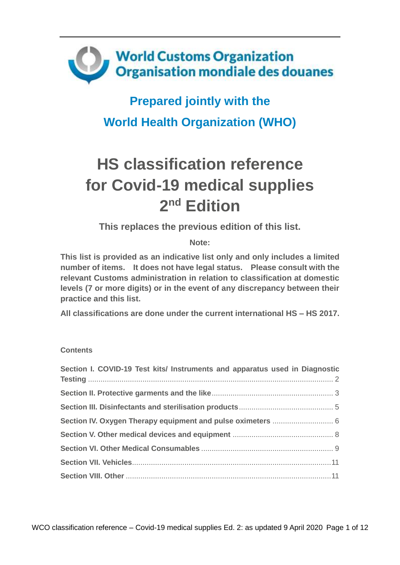

## **Prepared jointly with the World Health Organization (WHO)**

# **HS classification reference for Covid-19 medical supplies 2 nd Edition**

**This replaces the previous edition of this list.** 

**Note:** 

**This list is provided as an indicative list only and only includes a limited number of items. It does not have legal status. Please consult with the relevant Customs administration in relation to classification at domestic levels (7 or more digits) or in the event of any discrepancy between their practice and this list.** 

**All classifications are done under the current international HS – HS 2017.**

#### **Contents**

| Section I. COVID-19 Test kits/ Instruments and apparatus used in Diagnostic |  |
|-----------------------------------------------------------------------------|--|
|                                                                             |  |
|                                                                             |  |
|                                                                             |  |
|                                                                             |  |
|                                                                             |  |
|                                                                             |  |
|                                                                             |  |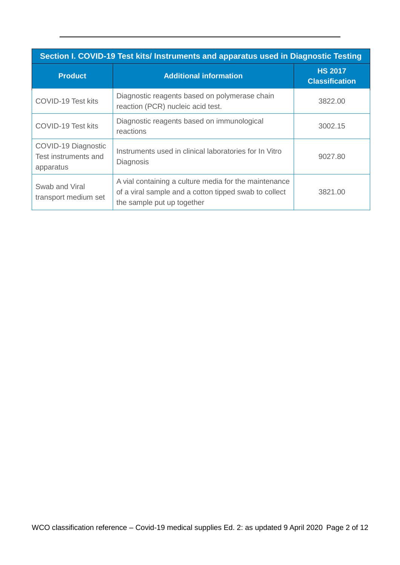<span id="page-1-0"></span>

| Section I. COVID-19 Test kits/ Instruments and apparatus used in Diagnostic Testing |                                                                                                                                              |                                         |
|-------------------------------------------------------------------------------------|----------------------------------------------------------------------------------------------------------------------------------------------|-----------------------------------------|
| <b>Product</b>                                                                      | <b>Additional information</b>                                                                                                                | <b>HS 2017</b><br><b>Classification</b> |
| COVID-19 Test kits                                                                  | Diagnostic reagents based on polymerase chain<br>reaction (PCR) nucleic acid test.                                                           | 3822.00                                 |
| COVID-19 Test kits                                                                  | Diagnostic reagents based on immunological<br>reactions                                                                                      | 3002.15                                 |
| COVID-19 Diagnostic<br>Test instruments and<br>apparatus                            | Instruments used in clinical laboratories for In Vitro<br>Diagnosis                                                                          | 9027.80                                 |
| Swab and Viral<br>transport medium set                                              | A vial containing a culture media for the maintenance<br>of a viral sample and a cotton tipped swab to collect<br>the sample put up together | 3821.00                                 |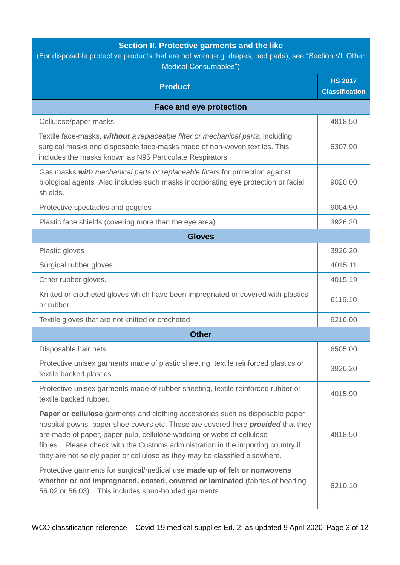## **Section II. Protective garments and the like**

<span id="page-2-0"></span>

| (For disposable protective products that are not worn (e.g. drapes, bed pads), see "Section VI. Other<br><b>Medical Consumables")</b>                                                                                                                                                                                                                                                                                |                                         |  |
|----------------------------------------------------------------------------------------------------------------------------------------------------------------------------------------------------------------------------------------------------------------------------------------------------------------------------------------------------------------------------------------------------------------------|-----------------------------------------|--|
| <b>Product</b>                                                                                                                                                                                                                                                                                                                                                                                                       | <b>HS 2017</b><br><b>Classification</b> |  |
| <b>Face and eye protection</b>                                                                                                                                                                                                                                                                                                                                                                                       |                                         |  |
| Cellulose/paper masks                                                                                                                                                                                                                                                                                                                                                                                                | 4818.50                                 |  |
| Textile face-masks, without a replaceable filter or mechanical parts, including<br>surgical masks and disposable face-masks made of non-woven textiles. This<br>includes the masks known as N95 Particulate Respirators.                                                                                                                                                                                             | 6307.90                                 |  |
| Gas masks with mechanical parts or replaceable filters for protection against<br>biological agents. Also includes such masks incorporating eye protection or facial<br>shields.                                                                                                                                                                                                                                      | 9020.00                                 |  |
| Protective spectacles and goggles                                                                                                                                                                                                                                                                                                                                                                                    | 9004.90                                 |  |
| Plastic face shields (covering more than the eye area)                                                                                                                                                                                                                                                                                                                                                               | 3926.20                                 |  |
| <b>Gloves</b>                                                                                                                                                                                                                                                                                                                                                                                                        |                                         |  |
| Plastic gloves                                                                                                                                                                                                                                                                                                                                                                                                       | 3926.20                                 |  |
| Surgical rubber gloves                                                                                                                                                                                                                                                                                                                                                                                               | 4015.11                                 |  |
| Other rubber gloves.                                                                                                                                                                                                                                                                                                                                                                                                 | 4015.19                                 |  |
| Knitted or crocheted gloves which have been impregnated or covered with plastics<br>or rubber                                                                                                                                                                                                                                                                                                                        | 6116.10                                 |  |
| Textile gloves that are not knitted or crocheted                                                                                                                                                                                                                                                                                                                                                                     | 6216.00                                 |  |
| <b>Other</b>                                                                                                                                                                                                                                                                                                                                                                                                         |                                         |  |
| Disposable hair nets                                                                                                                                                                                                                                                                                                                                                                                                 | 6505.00                                 |  |
| Protective unisex garments made of plastic sheeting, textile reinforced plastics or<br>textile backed plastics.                                                                                                                                                                                                                                                                                                      | 3926.20                                 |  |
| Protective unisex garments made of rubber sheeting, textile reinforced rubber or<br>textile backed rubber.                                                                                                                                                                                                                                                                                                           | 4015.90                                 |  |
| Paper or cellulose garments and clothing accessories such as disposable paper<br>hospital gowns, paper shoe covers etc. These are covered here <b>provided</b> that they<br>are made of paper, paper pulp, cellulose wadding or webs of cellulose<br>fibres. Please check with the Customs administration in the importing country if<br>they are not solely paper or cellulose as they may be classified elsewhere. | 4818.50                                 |  |
| Protective garments for surgical/medical use made up of felt or nonwovens<br>whether or not impregnated, coated, covered or laminated (fabrics of heading<br>56.02 or 56.03). This includes spun-bonded garments.                                                                                                                                                                                                    | 6210.10                                 |  |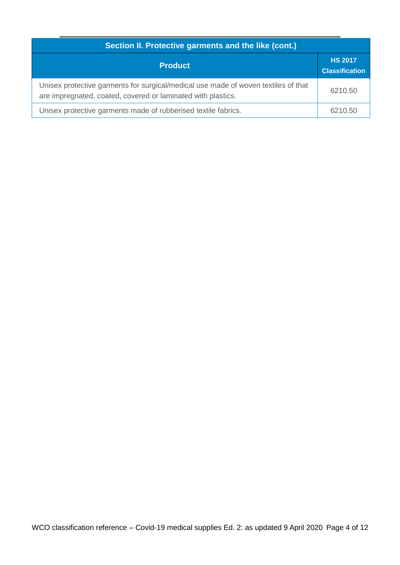| Section II. Protective garments and the like (cont.)                                                                                               |                                         |  |
|----------------------------------------------------------------------------------------------------------------------------------------------------|-----------------------------------------|--|
| <b>Product</b>                                                                                                                                     | <b>HS 2017</b><br><b>Classification</b> |  |
| Unisex protective garments for surgical/medical use made of woven textiles of that<br>are impregnated, coated, covered or laminated with plastics. | 6210.50                                 |  |
| Unisex protective garments made of rubberised textile fabrics.                                                                                     | 6210.50                                 |  |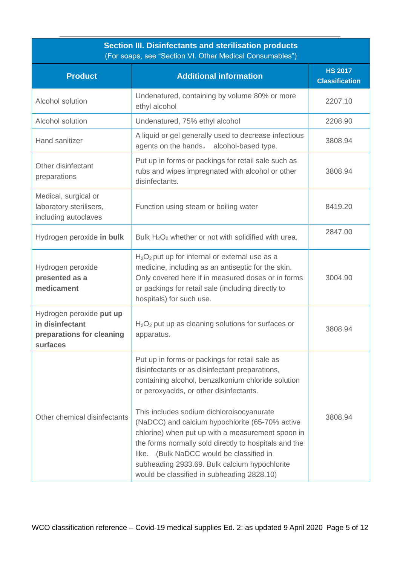<span id="page-4-0"></span>

| <b>Section III. Disinfectants and sterilisation products</b><br>(For soaps, see "Section VI. Other Medical Consumables") |                                                                                                                                                                                                                                                                                                                                                                                                                                                                                                                                                            |                                         |
|--------------------------------------------------------------------------------------------------------------------------|------------------------------------------------------------------------------------------------------------------------------------------------------------------------------------------------------------------------------------------------------------------------------------------------------------------------------------------------------------------------------------------------------------------------------------------------------------------------------------------------------------------------------------------------------------|-----------------------------------------|
| <b>Product</b>                                                                                                           | <b>Additional information</b>                                                                                                                                                                                                                                                                                                                                                                                                                                                                                                                              | <b>HS 2017</b><br><b>Classification</b> |
| Alcohol solution                                                                                                         | Undenatured, containing by volume 80% or more<br>ethyl alcohol                                                                                                                                                                                                                                                                                                                                                                                                                                                                                             | 2207.10                                 |
| Alcohol solution                                                                                                         | Undenatured, 75% ethyl alcohol                                                                                                                                                                                                                                                                                                                                                                                                                                                                                                                             | 2208.90                                 |
| Hand sanitizer                                                                                                           | A liquid or gel generally used to decrease infectious<br>agents on the hands, alcohol-based type.                                                                                                                                                                                                                                                                                                                                                                                                                                                          | 3808.94                                 |
| Other disinfectant<br>preparations                                                                                       | Put up in forms or packings for retail sale such as<br>rubs and wipes impregnated with alcohol or other<br>disinfectants.                                                                                                                                                                                                                                                                                                                                                                                                                                  | 3808.94                                 |
| Medical, surgical or<br>laboratory sterilisers,<br>including autoclaves                                                  | Function using steam or boiling water                                                                                                                                                                                                                                                                                                                                                                                                                                                                                                                      | 8419.20                                 |
| Hydrogen peroxide in bulk                                                                                                | Bulk $H_2O_2$ whether or not with solidified with urea.                                                                                                                                                                                                                                                                                                                                                                                                                                                                                                    | 2847.00                                 |
| Hydrogen peroxide<br>presented as a<br>medicament                                                                        | $H2O2$ put up for internal or external use as a<br>medicine, including as an antiseptic for the skin.<br>Only covered here if in measured doses or in forms<br>or packings for retail sale (including directly to<br>hospitals) for such use.                                                                                                                                                                                                                                                                                                              | 3004.90                                 |
| Hydrogen peroxide put up<br>in disinfectant<br>preparations for cleaning<br>surfaces                                     | $H2O2$ put up as cleaning solutions for surfaces or<br>apparatus.                                                                                                                                                                                                                                                                                                                                                                                                                                                                                          | 3808.94                                 |
| Other chemical disinfectants                                                                                             | Put up in forms or packings for retail sale as<br>disinfectants or as disinfectant preparations,<br>containing alcohol, benzalkonium chloride solution<br>or peroxyacids, or other disinfectants.<br>This includes sodium dichloroisocyanurate<br>(NaDCC) and calcium hypochlorite (65-70% active<br>chlorine) when put up with a measurement spoon in<br>the forms normally sold directly to hospitals and the<br>like. (Bulk NaDCC would be classified in<br>subheading 2933.69. Bulk calcium hypochlorite<br>would be classified in subheading 2828.10) | 3808.94                                 |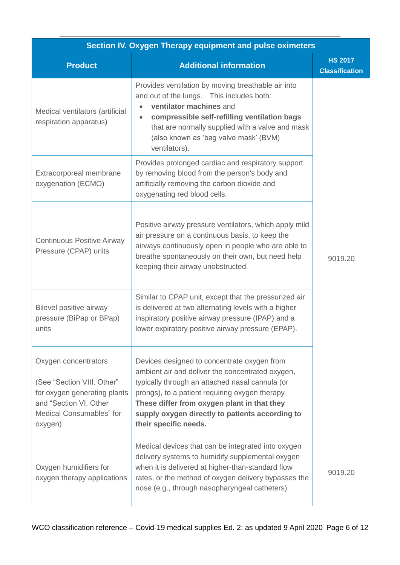<span id="page-5-0"></span>

| Section IV. Oxygen Therapy equipment and pulse oximeters                                                                                            |                                                                                                                                                                                                                                                                                                                                  |                                         |
|-----------------------------------------------------------------------------------------------------------------------------------------------------|----------------------------------------------------------------------------------------------------------------------------------------------------------------------------------------------------------------------------------------------------------------------------------------------------------------------------------|-----------------------------------------|
| <b>Product</b>                                                                                                                                      | <b>Additional information</b>                                                                                                                                                                                                                                                                                                    | <b>HS 2017</b><br><b>Classification</b> |
| Medical ventilators (artificial<br>respiration apparatus)                                                                                           | Provides ventilation by moving breathable air into<br>and out of the lungs. This includes both:<br>ventilator machines and<br>$\bullet$<br>compressible self-refilling ventilation bags<br>that are normally supplied with a valve and mask<br>(also known as 'bag valve mask' (BVM)<br>ventilators).                            |                                         |
| Extracorporeal membrane<br>oxygenation (ECMO)                                                                                                       | Provides prolonged cardiac and respiratory support<br>by removing blood from the person's body and<br>artificially removing the carbon dioxide and<br>oxygenating red blood cells.                                                                                                                                               |                                         |
| <b>Continuous Positive Airway</b><br>Pressure (CPAP) units                                                                                          | Positive airway pressure ventilators, which apply mild<br>air pressure on a continuous basis, to keep the<br>airways continuously open in people who are able to<br>breathe spontaneously on their own, but need help<br>keeping their airway unobstructed.                                                                      | 9019.20                                 |
| Bilevel positive airway<br>pressure (BiPap or BPap)<br>units                                                                                        | Similar to CPAP unit, except that the pressurized air<br>is delivered at two alternating levels with a higher<br>inspiratory positive airway pressure (IPAP) and a<br>lower expiratory positive airway pressure (EPAP).                                                                                                          |                                         |
| Oxygen concentrators<br>(See "Section VIII. Other"<br>for oxygen generating plants<br>and "Section VI. Other<br>Medical Consumables" for<br>oxygen) | Devices designed to concentrate oxygen from<br>ambient air and deliver the concentrated oxygen,<br>typically through an attached nasal cannula (or<br>prongs), to a patient requiring oxygen therapy.<br>These differ from oxygen plant in that they<br>supply oxygen directly to patients according to<br>their specific needs. |                                         |
| Oxygen humidifiers for<br>oxygen therapy applications                                                                                               | Medical devices that can be integrated into oxygen<br>delivery systems to humidify supplemental oxygen<br>when it is delivered at higher-than-standard flow<br>rates, or the method of oxygen delivery bypasses the<br>nose (e.g., through nasopharyngeal catheters).                                                            | 9019.20                                 |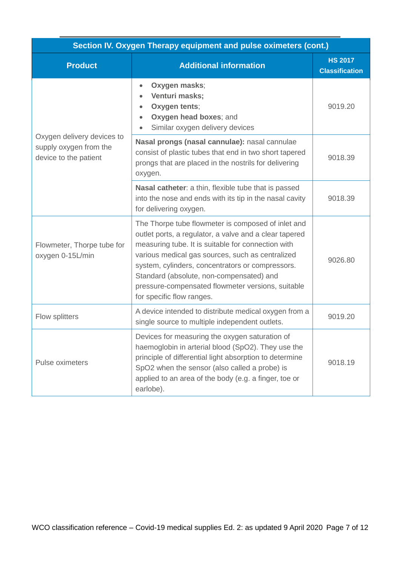| Section IV. Oxygen Therapy equipment and pulse oximeters (cont.)              |                                                                                                                                                                                                                                                                                                                                                                                                          |                                         |
|-------------------------------------------------------------------------------|----------------------------------------------------------------------------------------------------------------------------------------------------------------------------------------------------------------------------------------------------------------------------------------------------------------------------------------------------------------------------------------------------------|-----------------------------------------|
| <b>Product</b>                                                                | <b>Additional information</b>                                                                                                                                                                                                                                                                                                                                                                            | <b>HS 2017</b><br><b>Classification</b> |
|                                                                               | Oxygen masks;<br>$\bullet$<br>Venturi masks;<br>Oxygen tents;<br>Oxygen head boxes; and<br>$\bullet$<br>Similar oxygen delivery devices<br>$\bullet$                                                                                                                                                                                                                                                     | 9019.20                                 |
| Oxygen delivery devices to<br>supply oxygen from the<br>device to the patient | Nasal prongs (nasal cannulae): nasal cannulae<br>consist of plastic tubes that end in two short tapered<br>prongs that are placed in the nostrils for delivering<br>oxygen.                                                                                                                                                                                                                              | 9018.39                                 |
|                                                                               | Nasal catheter: a thin, flexible tube that is passed<br>into the nose and ends with its tip in the nasal cavity<br>for delivering oxygen.                                                                                                                                                                                                                                                                | 9018.39                                 |
| Flowmeter, Thorpe tube for<br>oxygen 0-15L/min                                | The Thorpe tube flowmeter is composed of inlet and<br>outlet ports, a regulator, a valve and a clear tapered<br>measuring tube. It is suitable for connection with<br>various medical gas sources, such as centralized<br>system, cylinders, concentrators or compressors.<br>Standard (absolute, non-compensated) and<br>pressure-compensated flowmeter versions, suitable<br>for specific flow ranges. | 9026.80                                 |
| Flow splitters                                                                | A device intended to distribute medical oxygen from a<br>single source to multiple independent outlets.                                                                                                                                                                                                                                                                                                  | 9019.20                                 |
| Pulse oximeters                                                               | Devices for measuring the oxygen saturation of<br>haemoglobin in arterial blood (SpO2). They use the<br>principle of differential light absorption to determine<br>SpO2 when the sensor (also called a probe) is<br>applied to an area of the body (e.g. a finger, toe or<br>earlobe).                                                                                                                   | 9018.19                                 |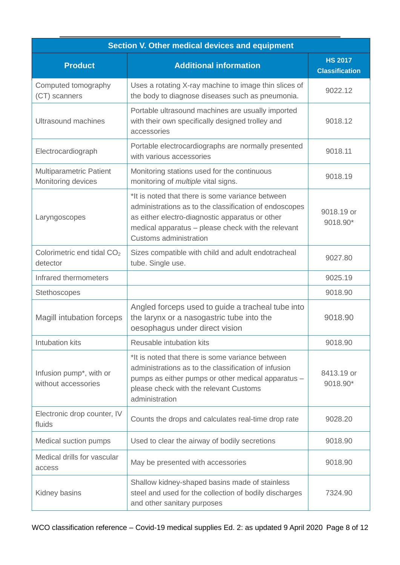<span id="page-7-0"></span>

| Section V. Other medical devices and equipment              |                                                                                                                                                                                                                                               |                                         |
|-------------------------------------------------------------|-----------------------------------------------------------------------------------------------------------------------------------------------------------------------------------------------------------------------------------------------|-----------------------------------------|
| <b>Product</b>                                              | <b>Additional information</b>                                                                                                                                                                                                                 | <b>HS 2017</b><br><b>Classification</b> |
| Computed tomography<br>(CT) scanners                        | Uses a rotating X-ray machine to image thin slices of<br>the body to diagnose diseases such as pneumonia.                                                                                                                                     | 9022.12                                 |
| Ultrasound machines                                         | Portable ultrasound machines are usually imported<br>with their own specifically designed trolley and<br>accessories                                                                                                                          | 9018.12                                 |
| Electrocardiograph                                          | Portable electrocardiographs are normally presented<br>with various accessories                                                                                                                                                               | 9018.11                                 |
| <b>Multiparametric Patient</b><br>Monitoring devices        | Monitoring stations used for the continuous<br>monitoring of <i>multiple</i> vital signs.                                                                                                                                                     | 9018.19                                 |
| Laryngoscopes                                               | *It is noted that there is some variance between<br>administrations as to the classification of endoscopes<br>as either electro-diagnostic apparatus or other<br>medical apparatus - please check with the relevant<br>Customs administration | 9018.19 or<br>9018.90*                  |
| Colorimetric end tidal CO <sub>2</sub><br>detector          | Sizes compatible with child and adult endotracheal<br>tube. Single use.                                                                                                                                                                       | 9027.80                                 |
| Infrared thermometers                                       |                                                                                                                                                                                                                                               | 9025.19                                 |
| Stethoscopes                                                |                                                                                                                                                                                                                                               | 9018.90                                 |
| Magill intubation forceps                                   | Angled forceps used to guide a tracheal tube into<br>the larynx or a nasogastric tube into the<br>oesophagus under direct vision                                                                                                              | 9018.90                                 |
| Intubation kits                                             | Reusable intubation kits                                                                                                                                                                                                                      | 9018.90                                 |
| Infusion pump <sup>*</sup> , with or<br>without accessories | *It is noted that there is some variance between<br>administrations as to the classification of infusion<br>pumps as either pumps or other medical apparatus -<br>please check with the relevant Customs<br>administration                    | 8413.19 or<br>9018.90*                  |
| Electronic drop counter, IV<br>fluids                       | Counts the drops and calculates real-time drop rate                                                                                                                                                                                           | 9028.20                                 |
| Medical suction pumps                                       | Used to clear the airway of bodily secretions                                                                                                                                                                                                 | 9018.90                                 |
| Medical drills for vascular<br>access                       | May be presented with accessories                                                                                                                                                                                                             | 9018.90                                 |
| Kidney basins                                               | Shallow kidney-shaped basins made of stainless<br>steel and used for the collection of bodily discharges<br>and other sanitary purposes                                                                                                       | 7324.90                                 |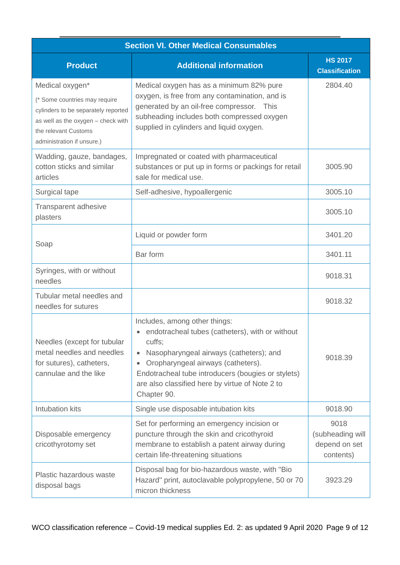<span id="page-8-0"></span>

| <b>Section VI. Other Medical Consumables</b>                                                                                                                                        |                                                                                                                                                                                                                                                                                                                  |                                                        |
|-------------------------------------------------------------------------------------------------------------------------------------------------------------------------------------|------------------------------------------------------------------------------------------------------------------------------------------------------------------------------------------------------------------------------------------------------------------------------------------------------------------|--------------------------------------------------------|
| <b>Product</b>                                                                                                                                                                      | <b>Additional information</b>                                                                                                                                                                                                                                                                                    | <b>HS 2017</b><br><b>Classification</b>                |
| Medical oxygen*<br>(* Some countries may require<br>cylinders to be separately reported<br>as well as the oxygen - check with<br>the relevant Customs<br>administration if unsure.) | Medical oxygen has as a minimum 82% pure<br>oxygen, is free from any contamination, and is<br>generated by an oil-free compressor. This<br>subheading includes both compressed oxygen<br>supplied in cylinders and liquid oxygen.                                                                                | 2804.40                                                |
| Wadding, gauze, bandages,<br>cotton sticks and similar<br>articles                                                                                                                  | Impregnated or coated with pharmaceutical<br>substances or put up in forms or packings for retail<br>sale for medical use.                                                                                                                                                                                       | 3005.90                                                |
| Surgical tape                                                                                                                                                                       | Self-adhesive, hypoallergenic                                                                                                                                                                                                                                                                                    | 3005.10                                                |
| Transparent adhesive<br>plasters                                                                                                                                                    |                                                                                                                                                                                                                                                                                                                  | 3005.10                                                |
| Soap                                                                                                                                                                                | Liquid or powder form                                                                                                                                                                                                                                                                                            | 3401.20                                                |
|                                                                                                                                                                                     | Bar form                                                                                                                                                                                                                                                                                                         | 3401.11                                                |
| Syringes, with or without<br>needles                                                                                                                                                |                                                                                                                                                                                                                                                                                                                  | 9018.31                                                |
| Tubular metal needles and<br>needles for sutures                                                                                                                                    |                                                                                                                                                                                                                                                                                                                  | 9018.32                                                |
| Needles (except for tubular<br>metal needles and needles<br>for sutures), catheters,<br>cannulae and the like                                                                       | Includes, among other things:<br>endotracheal tubes (catheters), with or without<br>cuffs;<br>Nasopharyngeal airways (catheters); and<br>Oropharyngeal airways (catheters).<br>$\bullet$<br>Endotracheal tube introducers (bougies or stylets)<br>are also classified here by virtue of Note 2 to<br>Chapter 90. | 9018.39                                                |
| Intubation kits                                                                                                                                                                     | Single use disposable intubation kits                                                                                                                                                                                                                                                                            | 9018.90                                                |
| Disposable emergency<br>cricothyrotomy set                                                                                                                                          | Set for performing an emergency incision or<br>puncture through the skin and cricothyroid<br>membrane to establish a patent airway during<br>certain life-threatening situations                                                                                                                                 | 9018<br>(subheading will<br>depend on set<br>contents) |
| Plastic hazardous waste<br>disposal bags                                                                                                                                            | Disposal bag for bio-hazardous waste, with "Bio<br>Hazard" print, autoclavable polypropylene, 50 or 70<br>micron thickness                                                                                                                                                                                       | 3923.29                                                |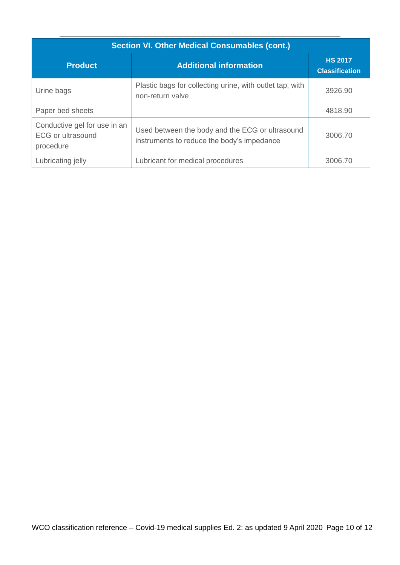| <b>Section VI. Other Medical Consumables (cont.)</b>                  |                                                                                               |                                         |
|-----------------------------------------------------------------------|-----------------------------------------------------------------------------------------------|-----------------------------------------|
| <b>Product</b>                                                        | <b>Additional information</b>                                                                 | <b>HS 2017</b><br><b>Classification</b> |
| Urine bags                                                            | Plastic bags for collecting urine, with outlet tap, with<br>non-return valve                  | 3926.90                                 |
| Paper bed sheets                                                      |                                                                                               | 4818.90                                 |
| Conductive gel for use in an<br><b>ECG or ultrasound</b><br>procedure | Used between the body and the ECG or ultrasound<br>instruments to reduce the body's impedance | 3006.70                                 |
| Lubricating jelly                                                     | Lubricant for medical procedures                                                              | 3006.70                                 |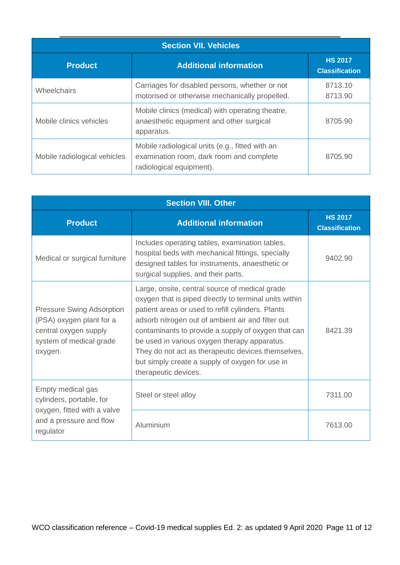<span id="page-10-0"></span>

| <b>Section VII. Vehicles</b> |                                                                                                                         |                                         |
|------------------------------|-------------------------------------------------------------------------------------------------------------------------|-----------------------------------------|
| <b>Product</b>               | <b>Additional information</b>                                                                                           | <b>HS 2017</b><br><b>Classification</b> |
| Wheelchairs                  | Carriages for disabled persons, whether or not<br>motorised or otherwise mechanically propelled.                        | 8713.10<br>8713.90                      |
| Mobile clinics vehicles      | Mobile clinics (medical) with operating theatre,<br>anaesthetic equipment and other surgical<br>apparatus.              | 8705.90                                 |
| Mobile radiological vehicles | Mobile radiological units (e.g., fitted with an<br>examination room, dark room and complete<br>radiological equipment). | 8705.90                                 |

| <b>Section VIII. Other</b>                                                                                                  |                                                                                                                                                                                                                                                                                                                                                                                                                                                            |                                         |
|-----------------------------------------------------------------------------------------------------------------------------|------------------------------------------------------------------------------------------------------------------------------------------------------------------------------------------------------------------------------------------------------------------------------------------------------------------------------------------------------------------------------------------------------------------------------------------------------------|-----------------------------------------|
| <b>Product</b>                                                                                                              | <b>Additional information</b>                                                                                                                                                                                                                                                                                                                                                                                                                              | <b>HS 2017</b><br><b>Classification</b> |
| Medical or surgical furniture                                                                                               | Includes operating tables, examination tables,<br>hospital beds with mechanical fittings, specially<br>designed tables for instruments, anaesthetic or<br>surgical supplies, and their parts.                                                                                                                                                                                                                                                              | 9402.90                                 |
| <b>Pressure Swing Adsorption</b><br>(PSA) oxygen plant for a<br>central oxygen supply<br>system of medical grade<br>oxygen. | Large, onsite, central source of medical grade<br>oxygen that is piped directly to terminal units within<br>patient areas or used to refill cylinders. Plants<br>adsorb nitrogen out of ambient air and filter out<br>contaminants to provide a supply of oxygen that can<br>be used in various oxygen therapy apparatus.<br>They do not act as therapeutic devices themselves,<br>but simply create a supply of oxygen for use in<br>therapeutic devices. | 8421.39                                 |
| Empty medical gas<br>cylinders, portable, for                                                                               | Steel or steel alloy                                                                                                                                                                                                                                                                                                                                                                                                                                       | 7311.00                                 |
| oxygen, fitted with a valve<br>and a pressure and flow<br>regulator                                                         | Aluminium                                                                                                                                                                                                                                                                                                                                                                                                                                                  | 7613.00                                 |